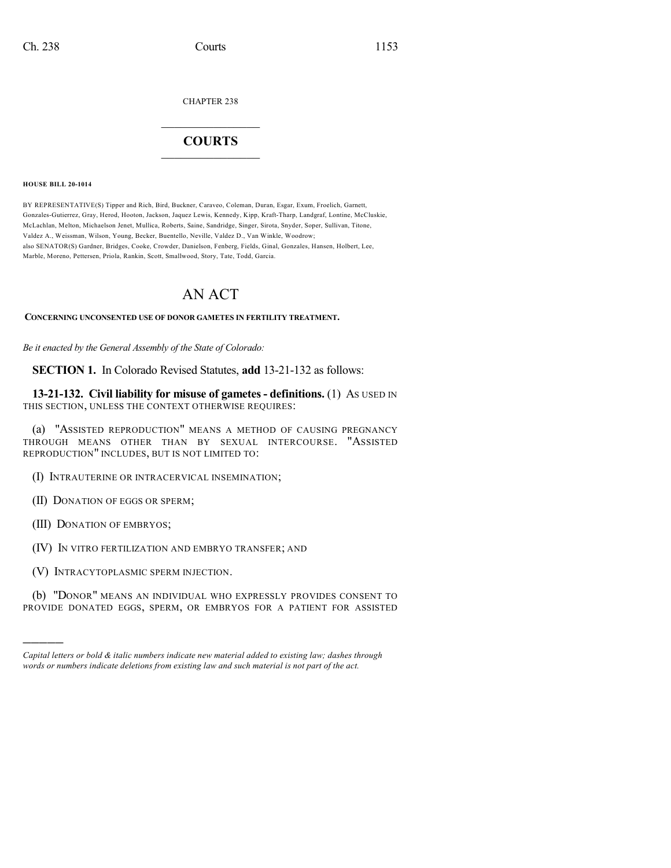CHAPTER 238

## $\mathcal{L}_\text{max}$  . The set of the set of the set of the set of the set of the set of the set of the set of the set of the set of the set of the set of the set of the set of the set of the set of the set of the set of the set **COURTS**  $\_$   $\_$   $\_$   $\_$   $\_$   $\_$   $\_$   $\_$

**HOUSE BILL 20-1014**

BY REPRESENTATIVE(S) Tipper and Rich, Bird, Buckner, Caraveo, Coleman, Duran, Esgar, Exum, Froelich, Garnett, Gonzales-Gutierrez, Gray, Herod, Hooton, Jackson, Jaquez Lewis, Kennedy, Kipp, Kraft-Tharp, Landgraf, Lontine, McCluskie, McLachlan, Melton, Michaelson Jenet, Mullica, Roberts, Saine, Sandridge, Singer, Sirota, Snyder, Soper, Sullivan, Titone, Valdez A., Weissman, Wilson, Young, Becker, Buentello, Neville, Valdez D., Van Winkle, Woodrow; also SENATOR(S) Gardner, Bridges, Cooke, Crowder, Danielson, Fenberg, Fields, Ginal, Gonzales, Hansen, Holbert, Lee, Marble, Moreno, Pettersen, Priola, Rankin, Scott, Smallwood, Story, Tate, Todd, Garcia.

## AN ACT

## **CONCERNING UNCONSENTED USE OF DONOR GAMETES IN FERTILITY TREATMENT.**

*Be it enacted by the General Assembly of the State of Colorado:*

**SECTION 1.** In Colorado Revised Statutes, **add** 13-21-132 as follows:

**13-21-132. Civil liability for misuse of gametes - definitions.** (1) AS USED IN THIS SECTION, UNLESS THE CONTEXT OTHERWISE REQUIRES:

(a) "ASSISTED REPRODUCTION" MEANS A METHOD OF CAUSING PREGNANCY THROUGH MEANS OTHER THAN BY SEXUAL INTERCOURSE. "ASSISTED REPRODUCTION" INCLUDES, BUT IS NOT LIMITED TO:

- (I) INTRAUTERINE OR INTRACERVICAL INSEMINATION;
- (II) DONATION OF EGGS OR SPERM;
- (III) DONATION OF EMBRYOS;

)))))

- (IV) IN VITRO FERTILIZATION AND EMBRYO TRANSFER; AND
- (V) INTRACYTOPLASMIC SPERM INJECTION.

(b) "DONOR" MEANS AN INDIVIDUAL WHO EXPRESSLY PROVIDES CONSENT TO PROVIDE DONATED EGGS, SPERM, OR EMBRYOS FOR A PATIENT FOR ASSISTED

*Capital letters or bold & italic numbers indicate new material added to existing law; dashes through words or numbers indicate deletions from existing law and such material is not part of the act.*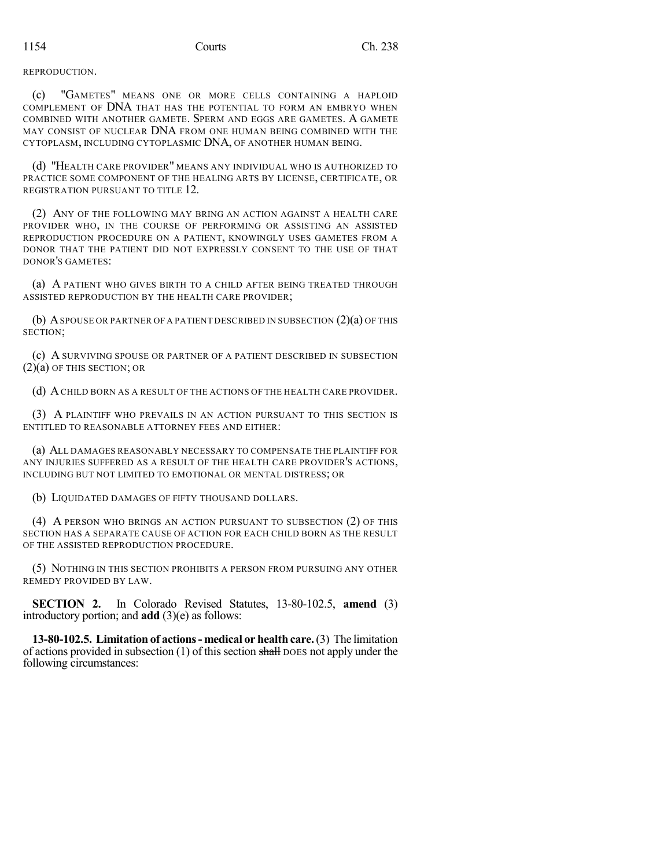REPRODUCTION.

(c) "GAMETES" MEANS ONE OR MORE CELLS CONTAINING A HAPLOID COMPLEMENT OF DNA THAT HAS THE POTENTIAL TO FORM AN EMBRYO WHEN COMBINED WITH ANOTHER GAMETE. SPERM AND EGGS ARE GAMETES. A GAMETE MAY CONSIST OF NUCLEAR DNA FROM ONE HUMAN BEING COMBINED WITH THE CYTOPLASM, INCLUDING CYTOPLASMIC DNA, OF ANOTHER HUMAN BEING.

(d) "HEALTH CARE PROVIDER" MEANS ANY INDIVIDUAL WHO IS AUTHORIZED TO PRACTICE SOME COMPONENT OF THE HEALING ARTS BY LICENSE, CERTIFICATE, OR REGISTRATION PURSUANT TO TITLE 12.

(2) ANY OF THE FOLLOWING MAY BRING AN ACTION AGAINST A HEALTH CARE PROVIDER WHO, IN THE COURSE OF PERFORMING OR ASSISTING AN ASSISTED REPRODUCTION PROCEDURE ON A PATIENT, KNOWINGLY USES GAMETES FROM A DONOR THAT THE PATIENT DID NOT EXPRESSLY CONSENT TO THE USE OF THAT DONOR'S GAMETES:

(a) A PATIENT WHO GIVES BIRTH TO A CHILD AFTER BEING TREATED THROUGH ASSISTED REPRODUCTION BY THE HEALTH CARE PROVIDER;

(b) ASPOUSE OR PARTNER OF A PATIENT DESCRIBED IN SUBSECTION (2)(a) OF THIS SECTION;

(c) A SURVIVING SPOUSE OR PARTNER OF A PATIENT DESCRIBED IN SUBSECTION (2)(a) OF THIS SECTION; OR

(d) ACHILD BORN AS A RESULT OF THE ACTIONS OF THE HEALTH CARE PROVIDER.

(3) A PLAINTIFF WHO PREVAILS IN AN ACTION PURSUANT TO THIS SECTION IS ENTITLED TO REASONABLE ATTORNEY FEES AND EITHER:

(a) ALL DAMAGES REASONABLY NECESSARY TO COMPENSATE THE PLAINTIFF FOR ANY INJURIES SUFFERED AS A RESULT OF THE HEALTH CARE PROVIDER'S ACTIONS, INCLUDING BUT NOT LIMITED TO EMOTIONAL OR MENTAL DISTRESS; OR

(b) LIQUIDATED DAMAGES OF FIFTY THOUSAND DOLLARS.

(4) A PERSON WHO BRINGS AN ACTION PURSUANT TO SUBSECTION (2) OF THIS SECTION HAS A SEPARATE CAUSE OF ACTION FOR EACH CHILD BORN AS THE RESULT OF THE ASSISTED REPRODUCTION PROCEDURE.

(5) NOTHING IN THIS SECTION PROHIBITS A PERSON FROM PURSUING ANY OTHER REMEDY PROVIDED BY LAW.

**SECTION 2.** In Colorado Revised Statutes, 13-80-102.5, **amend** (3) introductory portion; and **add** (3)(e) as follows:

**13-80-102.5. Limitation of actions- medical or health care.**(3) The limitation of actions provided in subsection  $(1)$  of this section shall DOES not apply under the following circumstances: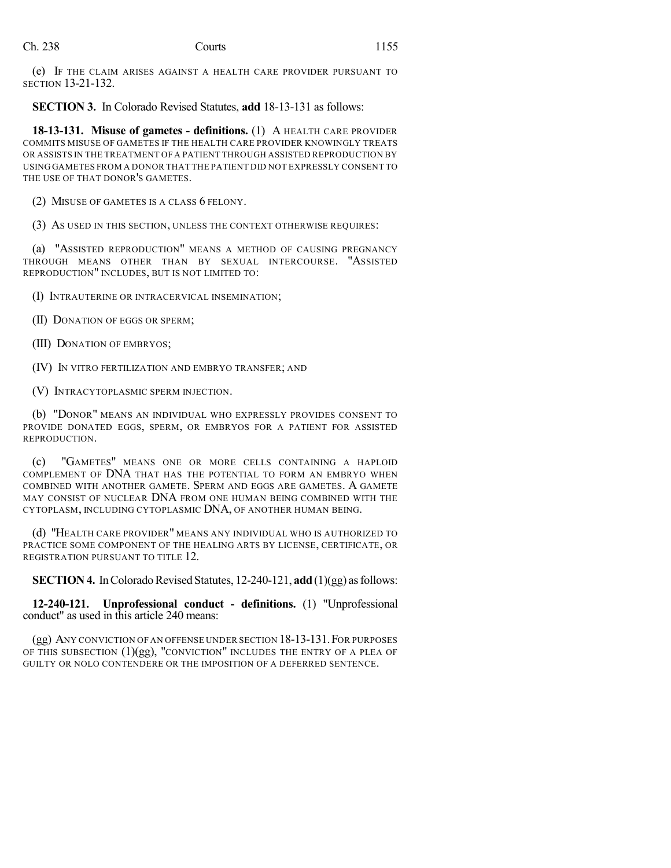(e) IF THE CLAIM ARISES AGAINST A HEALTH CARE PROVIDER PURSUANT TO SECTION 13-21-132.

**SECTION 3.** In Colorado Revised Statutes, **add** 18-13-131 as follows:

**18-13-131. Misuse of gametes - definitions.** (1) A HEALTH CARE PROVIDER COMMITS MISUSE OF GAMETES IF THE HEALTH CARE PROVIDER KNOWINGLY TREATS OR ASSISTS IN THE TREATMENT OF A PATIENT THROUGH ASSISTED REPRODUCTION BY USING GAMETES FROM A DONOR THAT THE PATIENT DID NOT EXPRESSLY CONSENT TO THE USE OF THAT DONOR'S GAMETES.

(2) MISUSE OF GAMETES IS A CLASS 6 FELONY.

(3) AS USED IN THIS SECTION, UNLESS THE CONTEXT OTHERWISE REQUIRES:

(a) "ASSISTED REPRODUCTION" MEANS A METHOD OF CAUSING PREGNANCY THROUGH MEANS OTHER THAN BY SEXUAL INTERCOURSE. "ASSISTED REPRODUCTION" INCLUDES, BUT IS NOT LIMITED TO:

(I) INTRAUTERINE OR INTRACERVICAL INSEMINATION;

(II) DONATION OF EGGS OR SPERM;

(III) DONATION OF EMBRYOS;

(IV) IN VITRO FERTILIZATION AND EMBRYO TRANSFER; AND

(V) INTRACYTOPLASMIC SPERM INJECTION.

(b) "DONOR" MEANS AN INDIVIDUAL WHO EXPRESSLY PROVIDES CONSENT TO PROVIDE DONATED EGGS, SPERM, OR EMBRYOS FOR A PATIENT FOR ASSISTED REPRODUCTION.

(c) "GAMETES" MEANS ONE OR MORE CELLS CONTAINING A HAPLOID COMPLEMENT OF DNA THAT HAS THE POTENTIAL TO FORM AN EMBRYO WHEN COMBINED WITH ANOTHER GAMETE. SPERM AND EGGS ARE GAMETES. A GAMETE MAY CONSIST OF NUCLEAR DNA FROM ONE HUMAN BEING COMBINED WITH THE CYTOPLASM, INCLUDING CYTOPLASMIC DNA, OF ANOTHER HUMAN BEING.

(d) "HEALTH CARE PROVIDER" MEANS ANY INDIVIDUAL WHO IS AUTHORIZED TO PRACTICE SOME COMPONENT OF THE HEALING ARTS BY LICENSE, CERTIFICATE, OR REGISTRATION PURSUANT TO TITLE 12.

**SECTION 4.** In Colorado Revised Statutes, 12-240-121, **add** (1)(gg) as follows:

**12-240-121. Unprofessional conduct - definitions.** (1) "Unprofessional conduct" as used in this article 240 means:

(gg) ANY CONVICTION OF AN OFFENSE UNDER SECTION 18-13-131.FOR PURPOSES OF THIS SUBSECTION (1)(gg), "CONVICTION" INCLUDES THE ENTRY OF A PLEA OF GUILTY OR NOLO CONTENDERE OR THE IMPOSITION OF A DEFERRED SENTENCE.